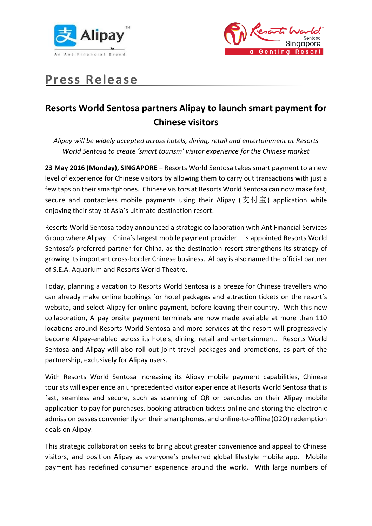



# **Press Release**

# **Resorts World Sentosa partners Alipay to launch smart payment for Chinese visitors**

*Alipay will be widely accepted across hotels, dining, retail and entertainment at Resorts World Sentosa to create 'smart tourism' visitor experience for the Chinese market*

**23 May 2016 (Monday), SINGAPORE –** Resorts World Sentosa takes smart payment to a new level of experience for Chinese visitors by allowing them to carry out transactions with just a few taps on their smartphones. Chinese visitors at Resorts World Sentosa can now make fast, secure and contactless mobile payments using their Alipay (支付宝) application while enjoying their stay at Asia's ultimate destination resort.

Resorts World Sentosa today announced a strategic collaboration with Ant Financial Services Group where Alipay – China's largest mobile payment provider – is appointed Resorts World Sentosa's preferred partner for China, as the destination resort strengthens its strategy of growing itsimportant cross-border Chinese business. Alipay is also named the official partner of S.E.A. Aquarium and Resorts World Theatre.

Today, planning a vacation to Resorts World Sentosa is a breeze for Chinese travellers who can already make online bookings for hotel packages and attraction tickets on the resort's website, and select Alipay for online payment, before leaving their country. With this new collaboration, Alipay onsite payment terminals are now made available at more than 110 locations around Resorts World Sentosa and more services at the resort will progressively become Alipay-enabled across its hotels, dining, retail and entertainment. Resorts World Sentosa and Alipay will also roll out joint travel packages and promotions, as part of the partnership, exclusively for Alipay users.

With Resorts World Sentosa increasing its Alipay mobile payment capabilities, Chinese tourists will experience an unprecedented visitor experience at Resorts World Sentosa that is fast, seamless and secure, such as scanning of QR or barcodes on their Alipay mobile application to pay for purchases, booking attraction tickets online and storing the electronic admission passes conveniently on their smartphones, and online-to-offline (O2O) redemption deals on Alipay.

This strategic collaboration seeks to bring about greater convenience and appeal to Chinese visitors, and position Alipay as everyone's preferred global lifestyle mobile app. Mobile payment has redefined consumer experience around the world. With large numbers of